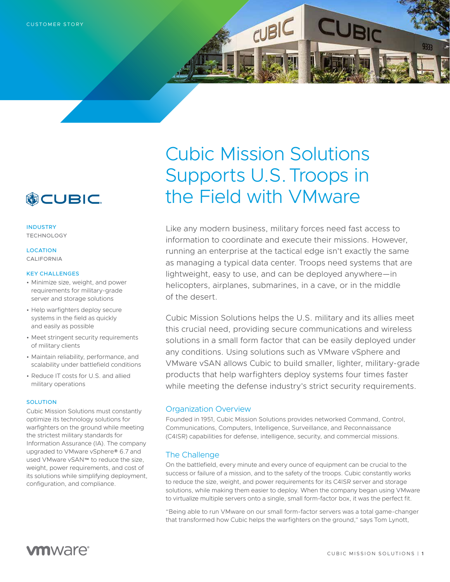

INDUSTRY TECHNOLOGY

## **LOCATION** CALIFORNIA

### KEY CHALLENGES

- Minimize size, weight, and power requirements for military-grade server and storage solutions
- Help warfighters deploy secure systems in the field as quickly and easily as possible
- Meet stringent security requirements of military clients
- Maintain reliability, performance, and scalability under battlefield conditions
- Reduce IT costs for U.S. and allied military operations

#### SOLUTION

Cubic Mission Solutions must constantly optimize its technology solutions for warfighters on the ground while meeting the strictest military standards for Information Assurance (IA). The company upgraded to VMware vSphere® 6.7 and used VMware vSAN™ to reduce the size, weight, power requirements, and cost of its solutions while simplifying deployment, configuration, and compliance.

# Cubic Mission Solutions Supports U.S. Troops in the Field with VMware

 $CUBIC$ 

Like any modern business, military forces need fast access to information to coordinate and execute their missions. However, running an enterprise at the tactical edge isn't exactly the same as managing a typical data center. Troops need systems that are lightweight, easy to use, and can be deployed anywhere—in helicopters, airplanes, submarines, in a cave, or in the middle of the desert.

Cubic Mission Solutions helps the U.S. military and its allies meet this crucial need, providing secure communications and wireless solutions in a small form factor that can be easily deployed under any conditions. Using solutions such as VMware vSphere and VMware vSAN allows Cubic to build smaller, lighter, military-grade products that help warfighters deploy systems four times faster while meeting the defense industry's strict security requirements.

## Organization Overview

Founded in 1951, Cubic Mission Solutions provides networked Command, Control, Communications, Computers, Intelligence, Surveillance, and Reconnaissance (C4ISR) capabilities for defense, intelligence, security, and commercial missions.

# The Challenge

On the battlefield, every minute and every ounce of equipment can be crucial to the success or failure of a mission, and to the safety of the troops. Cubic constantly works to reduce the size, weight, and power requirements for its C4ISR server and storage solutions, while making them easier to deploy. When the company began using VMware to virtualize multiple servers onto a single, small form-factor box, it was the perfect fit.

"Being able to run VMware on our small form-factor servers was a total game-changer that transformed how Cubic helps the warfighters on the ground," says Tom Lynott,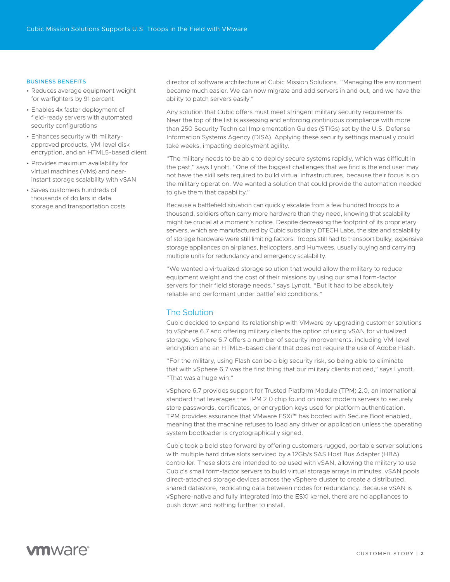## BUSINESS BENEFITS

- Reduces average equipment weight for warfighters by 91 percent
- Enables 4x faster deployment of field-ready servers with automated security configurations
- Enhances security with militaryapproved products, VM-level disk encryption, and an HTML5-based client
- Provides maximum availability for virtual machines (VMs) and nearinstant storage scalability with vSAN
- Saves customers hundreds of thousands of dollars in data storage and transportation costs

director of software architecture at Cubic Mission Solutions. "Managing the environment became much easier. We can now migrate and add servers in and out, and we have the ability to patch servers easily."

Any solution that Cubic offers must meet stringent military security requirements. Near the top of the list is assessing and enforcing continuous compliance with more than 250 Security Technical Implementation Guides (STIGs) set by the U.S. Defense Information Systems Agency (DISA). Applying these security settings manually could take weeks, impacting deployment agility.

"The military needs to be able to deploy secure systems rapidly, which was difficult in the past," says Lynott. "One of the biggest challenges that we find is the end user may not have the skill sets required to build virtual infrastructures, because their focus is on the military operation. We wanted a solution that could provide the automation needed to give them that capability."

Because a battlefield situation can quickly escalate from a few hundred troops to a thousand, soldiers often carry more hardware than they need, knowing that scalability might be crucial at a moment's notice. Despite decreasing the footprint of its proprietary servers, which are manufactured by Cubic subsidiary DTECH Labs, the size and scalability of storage hardware were still limiting factors. Troops still had to transport bulky, expensive storage appliances on airplanes, helicopters, and Humvees, usually buying and carrying multiple units for redundancy and emergency scalability.

"We wanted a virtualized storage solution that would allow the military to reduce equipment weight and the cost of their missions by using our small form-factor servers for their field storage needs," says Lynott. "But it had to be absolutely reliable and performant under battlefield conditions."

## The Solution

Cubic decided to expand its relationship with VMware by upgrading customer solutions to vSphere 6.7 and offering military clients the option of using vSAN for virtualized storage. vSphere 6.7 offers a number of security improvements, including VM-level encryption and an HTML5-based client that does not require the use of Adobe Flash.

"For the military, using Flash can be a big security risk, so being able to eliminate that with vSphere 6.7 was the first thing that our military clients noticed," says Lynott. "That was a huge win."

vSphere 6.7 provides support for Trusted Platform Module (TPM) 2.0, an international standard that leverages the TPM 2.0 chip found on most modern servers to securely store passwords, certificates, or encryption keys used for platform authentication. TPM provides assurance that VMware ESXi™ has booted with Secure Boot enabled, meaning that the machine refuses to load any driver or application unless the operating system bootloader is cryptographically signed.

Cubic took a bold step forward by offering customers rugged, portable server solutions with multiple hard drive slots serviced by a 12Gb/s SAS Host Bus Adapter (HBA) controller. These slots are intended to be used with vSAN, allowing the military to use Cubic's small form-factor servers to build virtual storage arrays in minutes. vSAN pools direct-attached storage devices across the vSphere cluster to create a distributed, shared datastore, replicating data between nodes for redundancy. Because vSAN is vSphere-native and fully integrated into the ESXi kernel, there are no appliances to push down and nothing further to install.